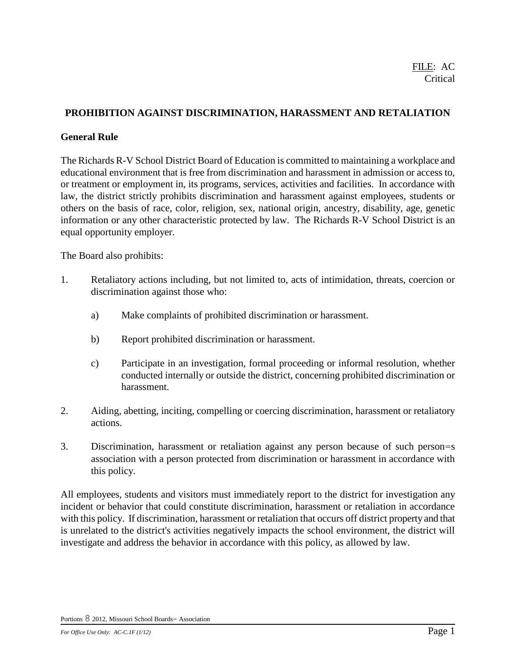## **PROHIBITION AGAINST DISCRIMINATION, HARASSMENT AND RETALIATION**

#### **General Rule**

The Richards R-V School District Board of Education is committed to maintaining a workplace and educational environment that is free from discrimination and harassment in admission or access to, or treatment or employment in, its programs, services, activities and facilities. In accordance with law, the district strictly prohibits discrimination and harassment against employees, students or others on the basis of race, color, religion, sex, national origin, ancestry, disability, age, genetic information or any other characteristic protected by law. The Richards R-V School District is an equal opportunity employer.

The Board also prohibits:

- 1. Retaliatory actions including, but not limited to, acts of intimidation, threats, coercion or discrimination against those who:
	- a) Make complaints of prohibited discrimination or harassment.
	- b) Report prohibited discrimination or harassment.
	- c) Participate in an investigation, formal proceeding or informal resolution, whether conducted internally or outside the district, concerning prohibited discrimination or harassment.
- 2. Aiding, abetting, inciting, compelling or coercing discrimination, harassment or retaliatory actions.
- 3. Discrimination, harassment or retaliation against any person because of such person=s association with a person protected from discrimination or harassment in accordance with this policy.

All employees, students and visitors must immediately report to the district for investigation any incident or behavior that could constitute discrimination, harassment or retaliation in accordance with this policy. If discrimination, harassment or retaliation that occurs off district property and that is unrelated to the district's activities negatively impacts the school environment, the district will investigate and address the behavior in accordance with this policy, as allowed by law.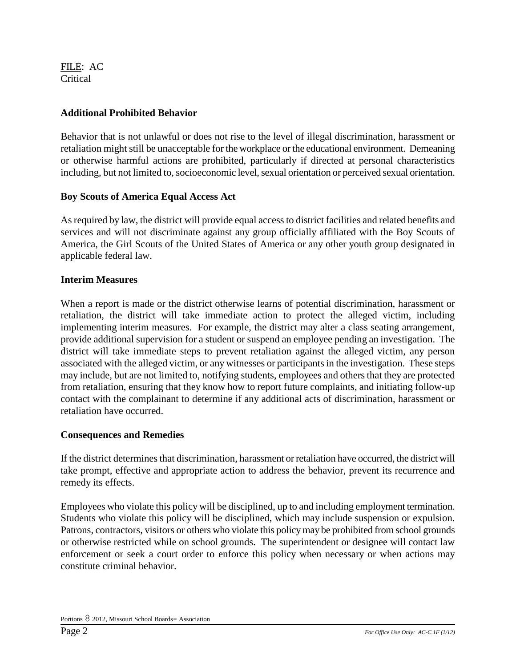## **Additional Prohibited Behavior**

Behavior that is not unlawful or does not rise to the level of illegal discrimination, harassment or retaliation might still be unacceptable for the workplace or the educational environment. Demeaning or otherwise harmful actions are prohibited, particularly if directed at personal characteristics including, but not limited to, socioeconomic level, sexual orientation or perceived sexual orientation.

# **Boy Scouts of America Equal Access Act**

As required by law, the district will provide equal access to district facilities and related benefits and services and will not discriminate against any group officially affiliated with the Boy Scouts of America, the Girl Scouts of the United States of America or any other youth group designated in applicable federal law.

# **Interim Measures**

When a report is made or the district otherwise learns of potential discrimination, harassment or retaliation, the district will take immediate action to protect the alleged victim, including implementing interim measures. For example, the district may alter a class seating arrangement, provide additional supervision for a student or suspend an employee pending an investigation. The district will take immediate steps to prevent retaliation against the alleged victim, any person associated with the alleged victim, or any witnesses or participants in the investigation. These steps may include, but are not limited to, notifying students, employees and others that they are protected from retaliation, ensuring that they know how to report future complaints, and initiating follow-up contact with the complainant to determine if any additional acts of discrimination, harassment or retaliation have occurred.

## **Consequences and Remedies**

If the district determines that discrimination, harassment or retaliation have occurred, the district will take prompt, effective and appropriate action to address the behavior, prevent its recurrence and remedy its effects.

Employees who violate this policy will be disciplined, up to and including employment termination. Students who violate this policy will be disciplined, which may include suspension or expulsion. Patrons, contractors, visitors or others who violate this policy may be prohibited from school grounds or otherwise restricted while on school grounds. The superintendent or designee will contact law enforcement or seek a court order to enforce this policy when necessary or when actions may constitute criminal behavior.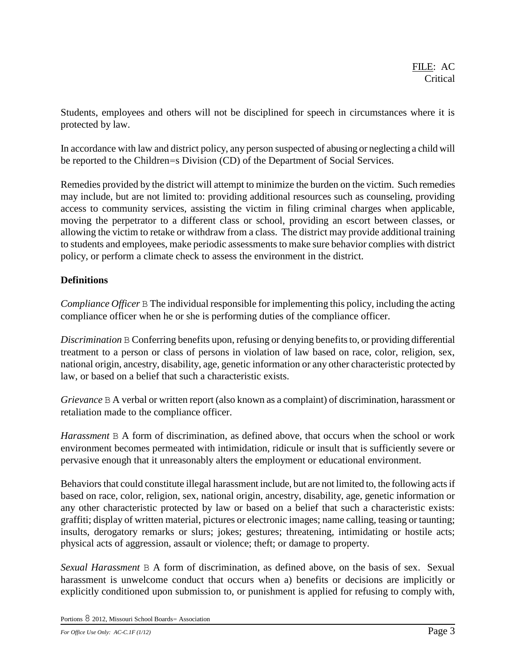Students, employees and others will not be disciplined for speech in circumstances where it is protected by law.

In accordance with law and district policy, any person suspected of abusing or neglecting a child will be reported to the Children=s Division (CD) of the Department of Social Services.

Remedies provided by the district will attempt to minimize the burden on the victim. Such remedies may include, but are not limited to: providing additional resources such as counseling, providing access to community services, assisting the victim in filing criminal charges when applicable, moving the perpetrator to a different class or school, providing an escort between classes, or allowing the victim to retake or withdraw from a class. The district may provide additional training to students and employees, make periodic assessments to make sure behavior complies with district policy, or perform a climate check to assess the environment in the district.

# **Definitions**

*Compliance Officer* B The individual responsible for implementing this policy, including the acting compliance officer when he or she is performing duties of the compliance officer.

*Discrimination* B Conferring benefits upon, refusing or denying benefits to, or providing differential treatment to a person or class of persons in violation of law based on race, color, religion, sex, national origin, ancestry, disability, age, genetic information or any other characteristic protected by law, or based on a belief that such a characteristic exists.

*Grievance* B A verbal or written report (also known as a complaint) of discrimination, harassment or retaliation made to the compliance officer.

*Harassment* B A form of discrimination, as defined above, that occurs when the school or work environment becomes permeated with intimidation, ridicule or insult that is sufficiently severe or pervasive enough that it unreasonably alters the employment or educational environment.

Behaviors that could constitute illegal harassment include, but are not limited to, the following acts if based on race, color, religion, sex, national origin, ancestry, disability, age, genetic information or any other characteristic protected by law or based on a belief that such a characteristic exists: graffiti; display of written material, pictures or electronic images; name calling, teasing or taunting; insults, derogatory remarks or slurs; jokes; gestures; threatening, intimidating or hostile acts; physical acts of aggression, assault or violence; theft; or damage to property.

*Sexual Harassment* B A form of discrimination, as defined above, on the basis of sex. Sexual harassment is unwelcome conduct that occurs when a) benefits or decisions are implicitly or explicitly conditioned upon submission to, or punishment is applied for refusing to comply with,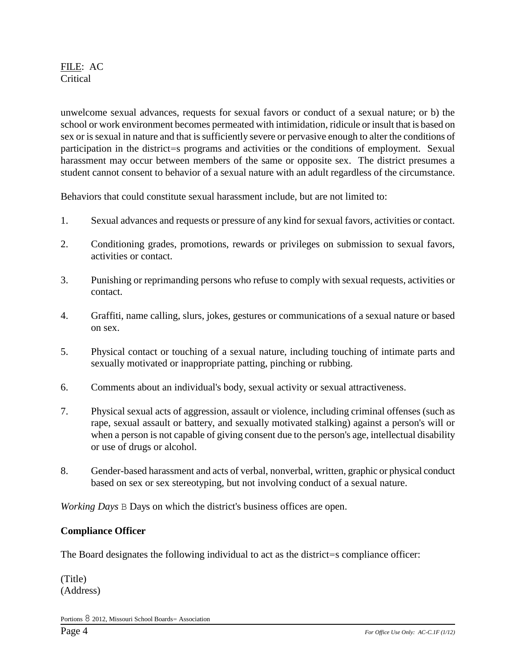unwelcome sexual advances, requests for sexual favors or conduct of a sexual nature; or b) the school or work environment becomes permeated with intimidation, ridicule or insult that is based on sex or is sexual in nature and that is sufficiently severe or pervasive enough to alter the conditions of participation in the district=s programs and activities or the conditions of employment. Sexual harassment may occur between members of the same or opposite sex. The district presumes a student cannot consent to behavior of a sexual nature with an adult regardless of the circumstance.

Behaviors that could constitute sexual harassment include, but are not limited to:

- 1. Sexual advances and requests or pressure of any kind for sexual favors, activities or contact.
- 2. Conditioning grades, promotions, rewards or privileges on submission to sexual favors, activities or contact.
- 3. Punishing or reprimanding persons who refuse to comply with sexual requests, activities or contact.
- 4. Graffiti, name calling, slurs, jokes, gestures or communications of a sexual nature or based on sex.
- 5. Physical contact or touching of a sexual nature, including touching of intimate parts and sexually motivated or inappropriate patting, pinching or rubbing.
- 6. Comments about an individual's body, sexual activity or sexual attractiveness.
- 7. Physical sexual acts of aggression, assault or violence, including criminal offenses (such as rape, sexual assault or battery, and sexually motivated stalking) against a person's will or when a person is not capable of giving consent due to the person's age, intellectual disability or use of drugs or alcohol.
- 8. Gender-based harassment and acts of verbal, nonverbal, written, graphic or physical conduct based on sex or sex stereotyping, but not involving conduct of a sexual nature.

*Working Days* B Days on which the district's business offices are open.

#### **Compliance Officer**

The Board designates the following individual to act as the district=s compliance officer:

(Title) (Address)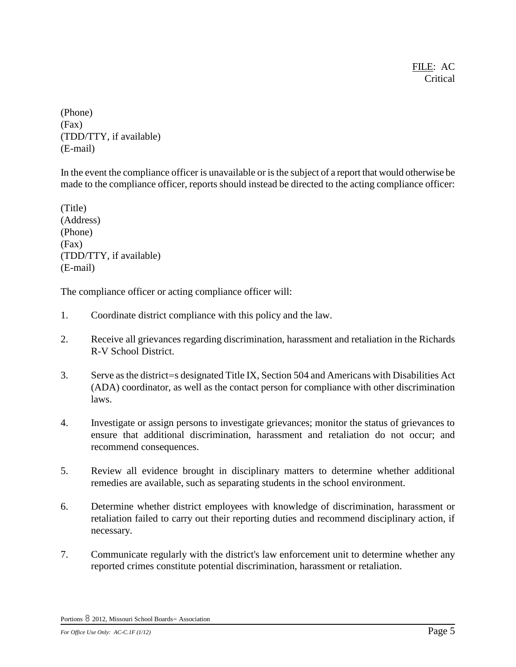(Phone) (Fax) (TDD/TTY, if available) (E-mail)

In the event the compliance officer is unavailable or is the subject of a report that would otherwise be made to the compliance officer, reports should instead be directed to the acting compliance officer:

(Title) (Address) (Phone) (Fax) (TDD/TTY, if available) (E-mail)

The compliance officer or acting compliance officer will:

- 1. Coordinate district compliance with this policy and the law.
- 2. Receive all grievances regarding discrimination, harassment and retaliation in the Richards R-V School District.
- 3. Serve as the district=s designated Title IX, Section 504 and Americans with Disabilities Act (ADA) coordinator, as well as the contact person for compliance with other discrimination laws.
- 4. Investigate or assign persons to investigate grievances; monitor the status of grievances to ensure that additional discrimination, harassment and retaliation do not occur; and recommend consequences.
- 5. Review all evidence brought in disciplinary matters to determine whether additional remedies are available, such as separating students in the school environment.
- 6. Determine whether district employees with knowledge of discrimination, harassment or retaliation failed to carry out their reporting duties and recommend disciplinary action, if necessary.
- 7. Communicate regularly with the district's law enforcement unit to determine whether any reported crimes constitute potential discrimination, harassment or retaliation.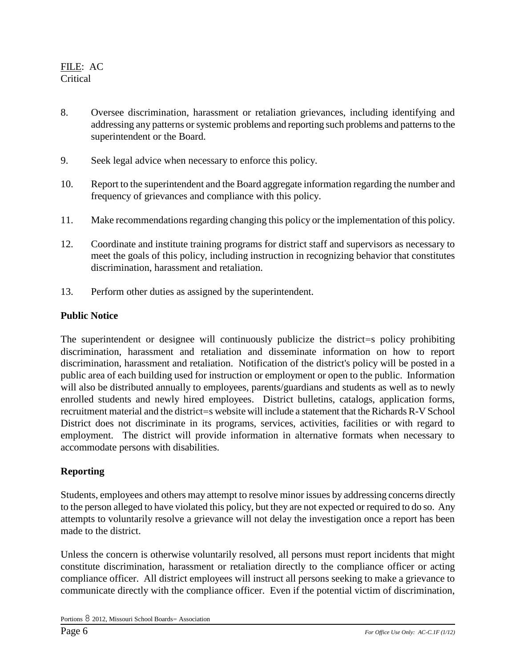- 8. Oversee discrimination, harassment or retaliation grievances, including identifying and addressing any patterns or systemic problems and reporting such problems and patterns to the superintendent or the Board.
- 9. Seek legal advice when necessary to enforce this policy.
- 10. Report to the superintendent and the Board aggregate information regarding the number and frequency of grievances and compliance with this policy.
- 11. Make recommendations regarding changing this policy or the implementation of this policy.
- 12. Coordinate and institute training programs for district staff and supervisors as necessary to meet the goals of this policy, including instruction in recognizing behavior that constitutes discrimination, harassment and retaliation.
- 13. Perform other duties as assigned by the superintendent.

#### **Public Notice**

The superintendent or designee will continuously publicize the district=s policy prohibiting discrimination, harassment and retaliation and disseminate information on how to report discrimination, harassment and retaliation. Notification of the district's policy will be posted in a public area of each building used for instruction or employment or open to the public. Information will also be distributed annually to employees, parents/guardians and students as well as to newly enrolled students and newly hired employees. District bulletins, catalogs, application forms, recruitment material and the district=s website will include a statement that the Richards R-V School District does not discriminate in its programs, services, activities, facilities or with regard to employment. The district will provide information in alternative formats when necessary to accommodate persons with disabilities.

## **Reporting**

Students, employees and others may attempt to resolve minor issues by addressing concerns directly to the person alleged to have violated this policy, but they are not expected or required to do so. Any attempts to voluntarily resolve a grievance will not delay the investigation once a report has been made to the district.

Unless the concern is otherwise voluntarily resolved, all persons must report incidents that might constitute discrimination, harassment or retaliation directly to the compliance officer or acting compliance officer. All district employees will instruct all persons seeking to make a grievance to communicate directly with the compliance officer. Even if the potential victim of discrimination,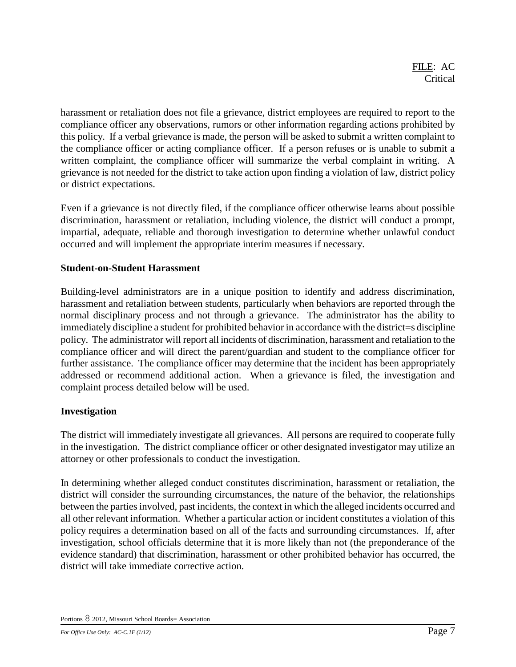harassment or retaliation does not file a grievance, district employees are required to report to the compliance officer any observations, rumors or other information regarding actions prohibited by this policy. If a verbal grievance is made, the person will be asked to submit a written complaint to the compliance officer or acting compliance officer. If a person refuses or is unable to submit a written complaint, the compliance officer will summarize the verbal complaint in writing. A grievance is not needed for the district to take action upon finding a violation of law, district policy or district expectations.

Even if a grievance is not directly filed, if the compliance officer otherwise learns about possible discrimination, harassment or retaliation, including violence, the district will conduct a prompt, impartial, adequate, reliable and thorough investigation to determine whether unlawful conduct occurred and will implement the appropriate interim measures if necessary.

## **Student-on-Student Harassment**

Building-level administrators are in a unique position to identify and address discrimination, harassment and retaliation between students, particularly when behaviors are reported through the normal disciplinary process and not through a grievance. The administrator has the ability to immediately discipline a student for prohibited behavior in accordance with the district=s discipline policy. The administrator will report all incidents of discrimination, harassment and retaliation to the compliance officer and will direct the parent/guardian and student to the compliance officer for further assistance. The compliance officer may determine that the incident has been appropriately addressed or recommend additional action. When a grievance is filed, the investigation and complaint process detailed below will be used.

# **Investigation**

The district will immediately investigate all grievances. All persons are required to cooperate fully in the investigation. The district compliance officer or other designated investigator may utilize an attorney or other professionals to conduct the investigation.

In determining whether alleged conduct constitutes discrimination, harassment or retaliation, the district will consider the surrounding circumstances, the nature of the behavior, the relationships between the parties involved, past incidents, the context in which the alleged incidents occurred and all other relevant information. Whether a particular action or incident constitutes a violation of this policy requires a determination based on all of the facts and surrounding circumstances. If, after investigation, school officials determine that it is more likely than not (the preponderance of the evidence standard) that discrimination, harassment or other prohibited behavior has occurred, the district will take immediate corrective action.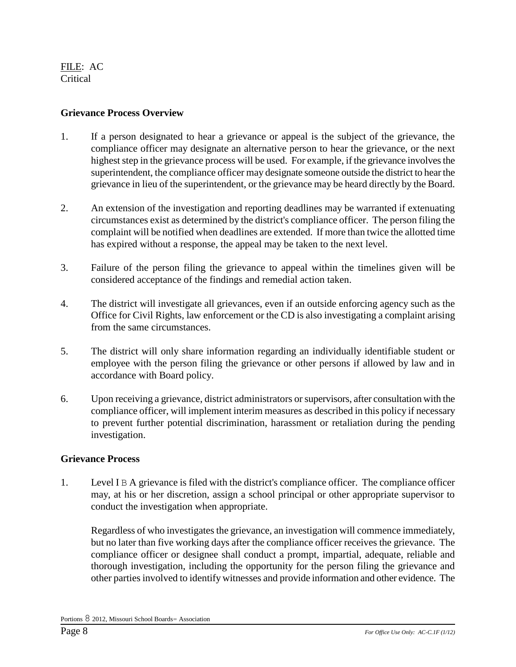#### **Grievance Process Overview**

- 1. If a person designated to hear a grievance or appeal is the subject of the grievance, the compliance officer may designate an alternative person to hear the grievance, or the next highest step in the grievance process will be used. For example, if the grievance involves the superintendent, the compliance officer may designate someone outside the district to hear the grievance in lieu of the superintendent, or the grievance may be heard directly by the Board.
- 2. An extension of the investigation and reporting deadlines may be warranted if extenuating circumstances exist as determined by the district's compliance officer. The person filing the complaint will be notified when deadlines are extended. If more than twice the allotted time has expired without a response, the appeal may be taken to the next level.
- 3. Failure of the person filing the grievance to appeal within the timelines given will be considered acceptance of the findings and remedial action taken.
- 4. The district will investigate all grievances, even if an outside enforcing agency such as the Office for Civil Rights, law enforcement or the CD is also investigating a complaint arising from the same circumstances.
- 5. The district will only share information regarding an individually identifiable student or employee with the person filing the grievance or other persons if allowed by law and in accordance with Board policy.
- 6. Upon receiving a grievance, district administrators or supervisors, after consultation with the compliance officer, will implement interim measures as described in this policy if necessary to prevent further potential discrimination, harassment or retaliation during the pending investigation.

## **Grievance Process**

1. Level I B A grievance is filed with the district's compliance officer. The compliance officer may, at his or her discretion, assign a school principal or other appropriate supervisor to conduct the investigation when appropriate.

Regardless of who investigates the grievance, an investigation will commence immediately, but no later than five working days after the compliance officer receives the grievance. The compliance officer or designee shall conduct a prompt, impartial, adequate, reliable and thorough investigation, including the opportunity for the person filing the grievance and other parties involved to identify witnesses and provide information and other evidence. The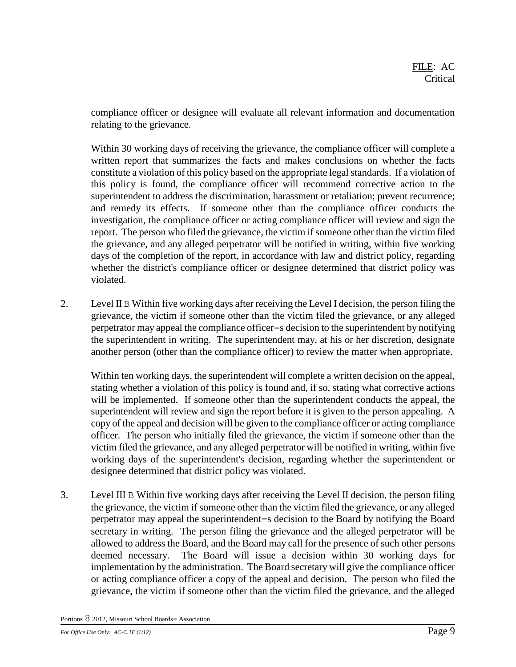compliance officer or designee will evaluate all relevant information and documentation relating to the grievance.

Within 30 working days of receiving the grievance, the compliance officer will complete a written report that summarizes the facts and makes conclusions on whether the facts constitute a violation of this policy based on the appropriate legal standards. If a violation of this policy is found, the compliance officer will recommend corrective action to the superintendent to address the discrimination, harassment or retaliation; prevent recurrence; and remedy its effects. If someone other than the compliance officer conducts the investigation, the compliance officer or acting compliance officer will review and sign the report. The person who filed the grievance, the victim if someone other than the victim filed the grievance, and any alleged perpetrator will be notified in writing, within five working days of the completion of the report, in accordance with law and district policy, regarding whether the district's compliance officer or designee determined that district policy was violated.

2. Level II B Within five working days after receiving the Level I decision, the person filing the grievance, the victim if someone other than the victim filed the grievance, or any alleged perpetrator may appeal the compliance officer=s decision to the superintendent by notifying the superintendent in writing. The superintendent may, at his or her discretion, designate another person (other than the compliance officer) to review the matter when appropriate.

Within ten working days, the superintendent will complete a written decision on the appeal, stating whether a violation of this policy is found and, if so, stating what corrective actions will be implemented. If someone other than the superintendent conducts the appeal, the superintendent will review and sign the report before it is given to the person appealing. A copy of the appeal and decision will be given to the compliance officer or acting compliance officer. The person who initially filed the grievance, the victim if someone other than the victim filed the grievance, and any alleged perpetrator will be notified in writing, within five working days of the superintendent's decision, regarding whether the superintendent or designee determined that district policy was violated.

3. Level III B Within five working days after receiving the Level II decision, the person filing the grievance, the victim if someone other than the victim filed the grievance, or any alleged perpetrator may appeal the superintendent=s decision to the Board by notifying the Board secretary in writing. The person filing the grievance and the alleged perpetrator will be allowed to address the Board, and the Board may call for the presence of such other persons deemed necessary. The Board will issue a decision within 30 working days for implementation by the administration. The Board secretary will give the compliance officer or acting compliance officer a copy of the appeal and decision. The person who filed the grievance, the victim if someone other than the victim filed the grievance, and the alleged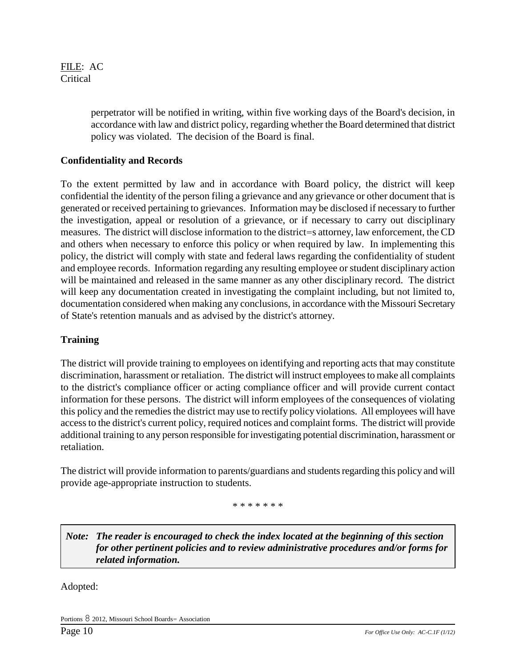> perpetrator will be notified in writing, within five working days of the Board's decision, in accordance with law and district policy, regarding whether the Board determined that district policy was violated. The decision of the Board is final.

# **Confidentiality and Records**

To the extent permitted by law and in accordance with Board policy, the district will keep confidential the identity of the person filing a grievance and any grievance or other document that is generated or received pertaining to grievances. Information may be disclosed if necessary to further the investigation, appeal or resolution of a grievance, or if necessary to carry out disciplinary measures. The district will disclose information to the district=s attorney, law enforcement, the CD and others when necessary to enforce this policy or when required by law. In implementing this policy, the district will comply with state and federal laws regarding the confidentiality of student and employee records. Information regarding any resulting employee or student disciplinary action will be maintained and released in the same manner as any other disciplinary record. The district will keep any documentation created in investigating the complaint including, but not limited to, documentation considered when making any conclusions, in accordance with the Missouri Secretary of State's retention manuals and as advised by the district's attorney.

## **Training**

The district will provide training to employees on identifying and reporting acts that may constitute discrimination, harassment or retaliation. The district will instruct employees to make all complaints to the district's compliance officer or acting compliance officer and will provide current contact information for these persons. The district will inform employees of the consequences of violating this policy and the remedies the district may use to rectify policy violations. All employees will have access to the district's current policy, required notices and complaint forms. The district will provide additional training to any person responsible for investigating potential discrimination, harassment or retaliation.

The district will provide information to parents/guardians and students regarding this policy and will provide age-appropriate instruction to students.

\* \* \* \* \* \* \*

*Note: The reader is encouraged to check the index located at the beginning of this section for other pertinent policies and to review administrative procedures and/or forms for related information.*

Adopted: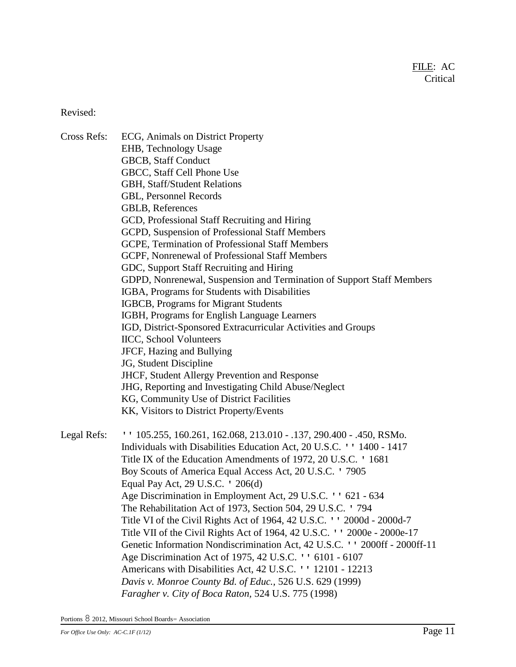Revised:

Cross Refs: ECG, Animals on District Property EHB, Technology Usage GBCB, Staff Conduct GBCC, Staff Cell Phone Use GBH, Staff/Student Relations GBL, Personnel Records GBLB, References GCD, Professional Staff Recruiting and Hiring GCPD, Suspension of Professional Staff Members GCPE, Termination of Professional Staff Members GCPF, Nonrenewal of Professional Staff Members GDC, Support Staff Recruiting and Hiring GDPD, Nonrenewal, Suspension and Termination of Support Staff Members IGBA, Programs for Students with Disabilities IGBCB, Programs for Migrant Students IGBH, Programs for English Language Learners IGD, District-Sponsored Extracurricular Activities and Groups IICC, School Volunteers JFCF, Hazing and Bullying JG, Student Discipline JHCF, Student Allergy Prevention and Response JHG, Reporting and Investigating Child Abuse/Neglect KG, Community Use of District Facilities KK, Visitors to District Property/Events Legal Refs: '' 105.255, 160.261, 162.068, 213.010 - .137, 290.400 - .450, RSMo. Individuals with Disabilities Education Act, 20 U.S.C. '' 1400 - 1417 Title IX of the Education Amendments of 1972, 20 U.S.C. ' 1681 Boy Scouts of America Equal Access Act, 20 U.S.C. ' 7905 Equal Pay Act, 29 U.S.C. ' 206(d) Age Discrimination in Employment Act, 29 U.S.C. '' 621 - 634 The Rehabilitation Act of 1973, Section 504, 29 U.S.C. ' 794 Title VI of the Civil Rights Act of 1964, 42 U.S.C. '' 2000d - 2000d-7 Title VII of the Civil Rights Act of 1964, 42 U.S.C. '' 2000e - 2000e-17 Genetic Information Nondiscrimination Act, 42 U.S.C. '' 2000ff - 2000ff-11 Age Discrimination Act of 1975, 42 U.S.C. '' 6101 - 6107 Americans with Disabilities Act, 42 U.S.C. '' 12101 - 12213 *Davis v. Monroe County Bd. of Educ.,* 526 U.S. 629 (1999) *Faragher v. City of Boca Raton,* 524 U.S. 775 (1998)